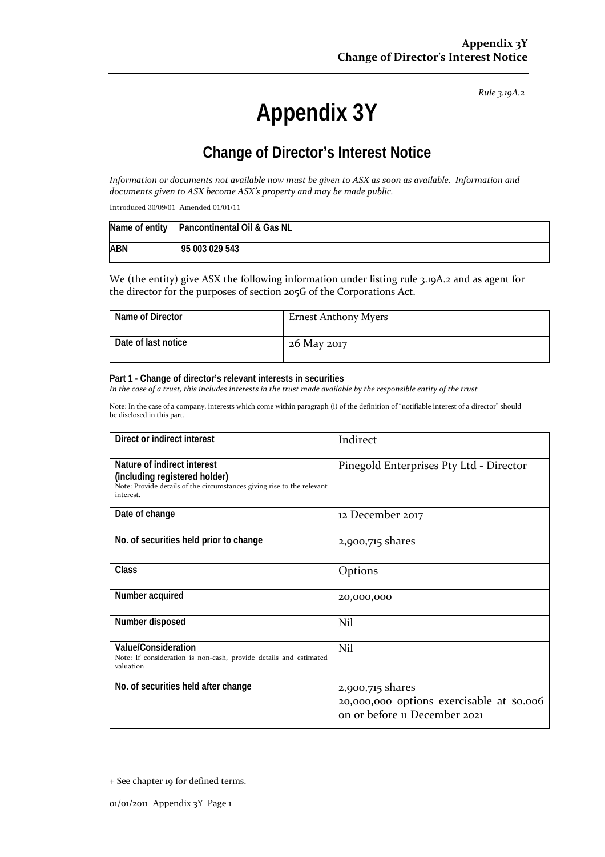*Rule 3.19A.2*

# **Appendix 3Y**

# **Change of Director's Interest Notice**

Information or documents not available now must be given to ASX as soon as available. Information and *documents given to ASX become ASX's property and may be made public.*

Introduced 30/09/01 Amended 01/01/11

|            | Name of entity Pancontinental Oil & Gas NL |
|------------|--------------------------------------------|
| <b>ABN</b> | 95 003 029 543                             |

We (the entity) give ASX the following information under listing rule 3.19A.2 and as agent for the director for the purposes of section 205G of the Corporations Act.

| Name of Director    | <b>Ernest Anthony Myers</b> |
|---------------------|-----------------------------|
| Date of last notice | 26 May 2017                 |

#### **Part 1 - Change of director's relevant interests in securities**

In the case of a trust, this includes interests in the trust made available by the responsible entity of the trust

Note: In the case of a company, interests which come within paragraph (i) of the definition of "notifiable interest of a director" should be disclosed in this part.

| Direct or indirect interest                                                                                                                         | Indirect                                                                                       |
|-----------------------------------------------------------------------------------------------------------------------------------------------------|------------------------------------------------------------------------------------------------|
| Nature of indirect interest<br>(including registered holder)<br>Note: Provide details of the circumstances giving rise to the relevant<br>interest. | Pinegold Enterprises Pty Ltd - Director                                                        |
| Date of change                                                                                                                                      | 12 December 2017                                                                               |
| No. of securities held prior to change                                                                                                              | 2,900,715 shares                                                                               |
| Class                                                                                                                                               | Options                                                                                        |
| Number acquired                                                                                                                                     | 20,000,000                                                                                     |
| Number disposed                                                                                                                                     | Nil                                                                                            |
| Value/Consideration<br>Note: If consideration is non-cash, provide details and estimated<br>valuation                                               | Nil                                                                                            |
| No. of securities held after change                                                                                                                 | 2,900,715 shares<br>20,000,000 options exercisable at \$0.006<br>on or before 11 December 2021 |

<sup>+</sup> See chapter 19 for defined terms.